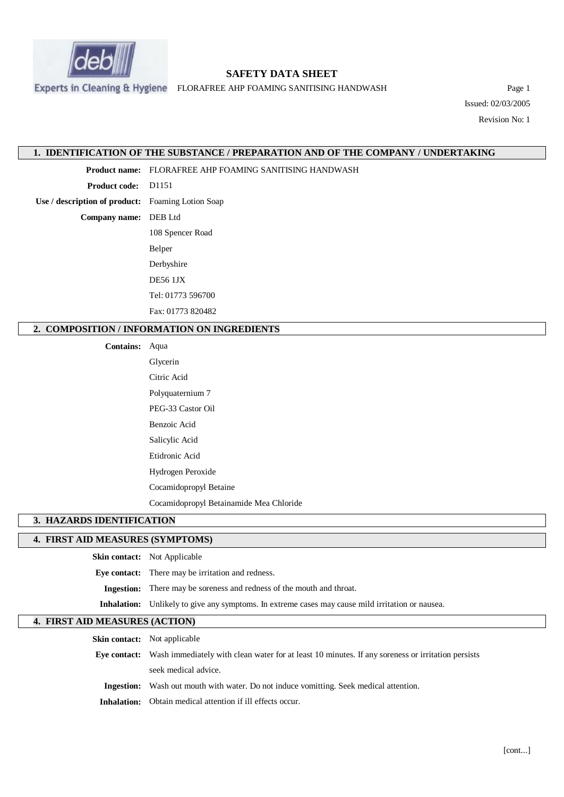

# **SAFETY DATA SHEET**

Experts in Cleaning & Hygiene FLORAFREE AHP FOAMING SANITISING HANDWASH PAge 1

Issued: 02/03/2005 Revision No: 1

**1. IDENTIFICATION OF THE SUBSTANCE / PREPARATION AND OF THE COMPANY / UNDERTAKING**

**Product name:** FLORAFREE AHP FOAMING SANITISING HANDWASH

**Product code:** D1151

**Use / description of product:** Foaming Lotion Soap

**Company name:** DEB Ltd

108 Spencer Road Belper Derbyshire DE56 1JX Tel: 01773 596700 Fax: 01773 820482

## **2. COMPOSITION / INFORMATION ON INGREDIENTS**

#### **Contains:** Aqua

Glycerin Citric Acid Polyquaternium 7 PEG-33 Castor Oil Benzoic Acid Salicylic Acid Etidronic Acid Hydrogen Peroxide Cocamidopropyl Betaine

Cocamidopropyl Betainamide Mea Chloride

# **3. HAZARDS IDENTIFICATION**

#### **4. FIRST AID MEASURES (SYMPTOMS)**

**Skin contact:** Not Applicable **Eye contact:** There may be irritation and redness. **Ingestion:** There may be soreness and redness of the mouth and throat. **Inhalation:** Unlikely to give any symptoms. In extreme cases may cause mild irritation or nausea.

## **4. FIRST AID MEASURES (ACTION)**

**Skin contact:** Not applicable

**Eye contact:** Wash immediately with clean water for at least 10 minutes. If any soreness or irritation persists seek medical advice.

**Ingestion:** Wash out mouth with water. Do not induce vomitting. Seek medical attention.

**Inhalation:** Obtain medical attention if ill effects occur.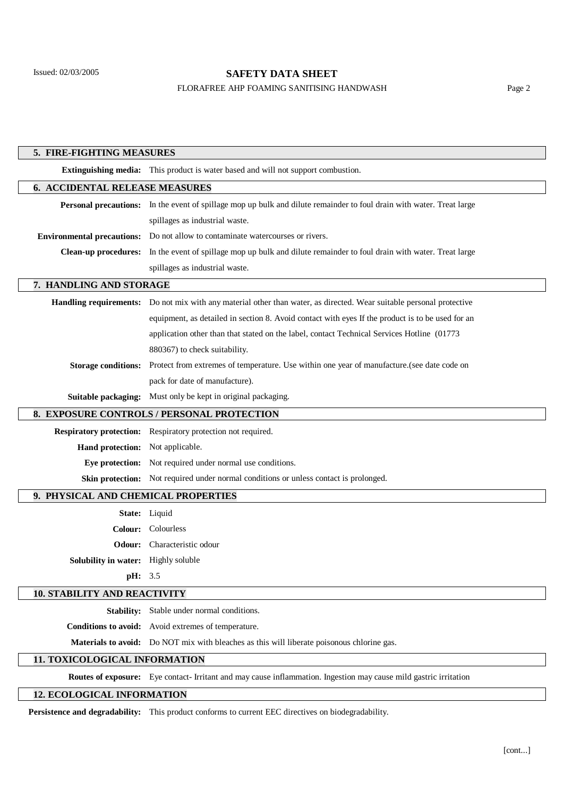# **SAFETY DATA SHEET**

## FLORAFREE AHP FOAMING SANITISING HANDWASH Page 2

| 5. FIRE-FIGHTING MEASURES                  |                                                                                                                       |
|--------------------------------------------|-----------------------------------------------------------------------------------------------------------------------|
|                                            | <b>Extinguishing media:</b> This product is water based and will not support combustion.                              |
| <b>6. ACCIDENTAL RELEASE MEASURES</b>      |                                                                                                                       |
|                                            | Personal precautions: In the event of spillage mop up bulk and dilute remainder to foul drain with water. Treat large |
|                                            | spillages as industrial waste.                                                                                        |
| <b>Environmental precautions:</b>          | Do not allow to contaminate watercourses or rivers.                                                                   |
| <b>Clean-up procedures:</b>                | In the event of spillage mop up bulk and dilute remainder to foul drain with water. Treat large                       |
|                                            | spillages as industrial waste.                                                                                        |
| 7. HANDLING AND STORAGE                    |                                                                                                                       |
|                                            | Handling requirements: Do not mix with any material other than water, as directed. Wear suitable personal protective  |
|                                            | equipment, as detailed in section 8. Avoid contact with eyes If the product is to be used for an                      |
|                                            | application other than that stated on the label, contact Technical Services Hotline (01773                            |
|                                            | 880367) to check suitability.                                                                                         |
| <b>Storage conditions:</b>                 | Protect from extremes of temperature. Use within one year of manufacture. (see date code on                           |
|                                            | pack for date of manufacture).                                                                                        |
| Suitable packaging:                        | Must only be kept in original packaging.                                                                              |
| 8. EXPOSURE CONTROLS / PERSONAL PROTECTION |                                                                                                                       |
|                                            | Respiratory protection: Respiratory protection not required.                                                          |
| <b>Hand protection:</b>                    | Not applicable.                                                                                                       |
| Eye protection:                            | Not required under normal use conditions.                                                                             |
|                                            | <b>Skin protection:</b> Not required under normal conditions or unless contact is prolonged.                          |
| 9. PHYSICAL AND CHEMICAL PROPERTIES        |                                                                                                                       |
|                                            | State: Liquid                                                                                                         |
| <b>Colour:</b>                             | Colourless                                                                                                            |
| Odour:                                     | Characteristic odour                                                                                                  |
| <b>Solubility in water:</b> Highly soluble |                                                                                                                       |
| pH: 3.5                                    |                                                                                                                       |
| <b>10. STABILITY AND REACTIVITY</b>        |                                                                                                                       |
| <b>Stability:</b>                          | Stable under normal conditions.                                                                                       |
|                                            | Conditions to avoid: Avoid extremes of temperature.                                                                   |
|                                            | Materials to avoid: Do NOT mix with bleaches as this will liberate poisonous chlorine gas.                            |
| 11. TOXICOLOGICAL INFORMATION              |                                                                                                                       |
|                                            | Routes of exposure: Eye contact- Irritant and may cause inflammation. Ingestion may cause mild gastric irritation     |

# **12. ECOLOGICAL INFORMATION**

**Persistence and degradability:** This product conforms to current EEC directives on biodegradability.